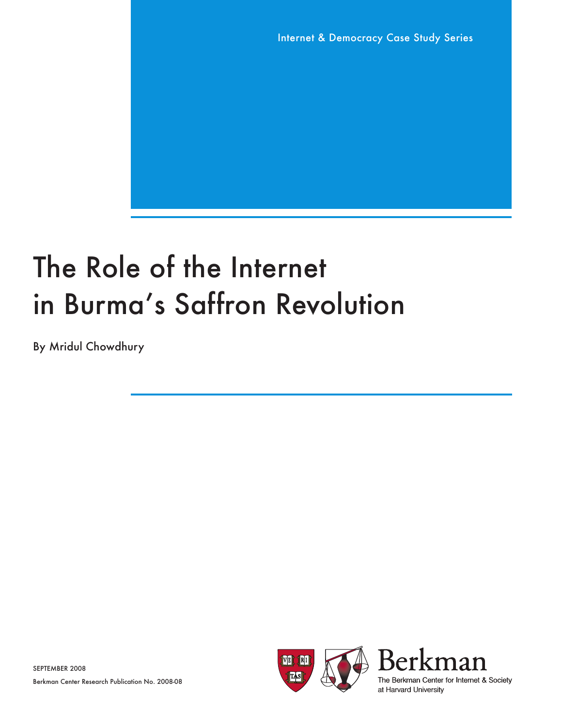Internet & Democracy Case Study Series

# The Role of the Internet in Burma's Saffron Revolution

By Mridul Chowdhury



**Berl** kman The Berkman Center for Internet & Society at Harvard University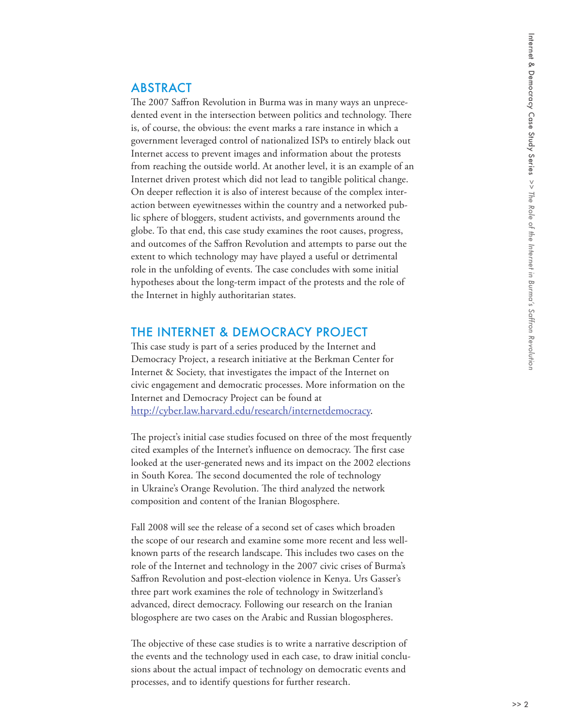## **ABSTRACT**

The 2007 Saffron Revolution in Burma was in many ways an unprece dented event in the intersection between politics and technology. There is, of course, the obvious: the event marks a rare instance in which a government leveraged control of nationalized ISPs to entirely black out Internet access to prevent images and information about the protests from reaching the outside world. At another level, it is an example of an Internet driven protest which did not lead to tangible political change. On deeper reflection it is also of interest because of the complex inter action between eyewitnesses within the country and a networked pub lic sphere of bloggers, student activists, and governments around the globe. To that end, this case study examines the root causes, progress, and outcomes of the Saffron Revolution and attempts to parse out the extent to which technology may have played a useful or detrimental role in the unfolding of events. The case concludes with some initial hypotheses about the long-term impact of the protests and the role of the Internet in highly authoritarian states.

## THE INTERNET & DEMOCRACY PROJE

This case study is part of a series produced by the Internet and Democracy Project, a research initiative at the Berkman Center for Internet & Society, that investigates the impact of the Internet on civic engagement and democratic processes. More information on the Internet and Democracy Project can be found at http://cyber.law.harvard.edu/research/internetdemocracy.

The project's initial case studies focused on three of the most frequently cited examples of the Internet's influence on democracy. The first case looked at the user-generated news and its impact on the 2002 elections in South Korea. The second documented the role of technology in Ukraine's Orange Revolution. The third analyzed the network composition and content of the Iranian Blogosphere.

Fall 2008 will see the release of a second set of cases which broaden the scope of our research and examine some more recent and less wellknown parts of the research landscape. This includes two cases on the role of the Internet and technology in the 2007 civic crises of Burma's Saffron Revolution and post-election violence in Kenya. Urs Gasser's three part work examines the role of technology in Switzerland's advanced, direct democracy. Following our research on the Iranian blogosphere are two cases on the Arabic and Russian blogospheres.

The objective of these case studies is to write a narrative description of the events and the technology used in each case, to draw initial conclu sions about the actual impact of technology on democratic events and processes, and to identify questions for further research.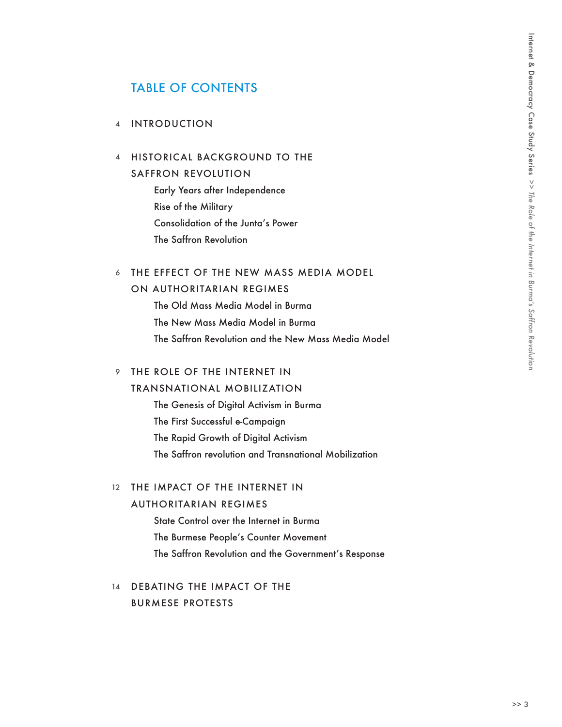# Table of Contents

#### 4 INTRODUCTION

# Historical Background to the 4 Saffron Revolution

 Early Years after Independence Rise of the Military Consolidation of the Junta's Power The Saffron Revolution

#### The Effect of the New Mass Media Model 6

## on Authoritarian Regimes

 The Old Mass Media Model in Burma The New Mass Media Model in Burma The Saffron Revolution and the New Mass Media Model

## $9$  ) THE ROLE OF THE INTERNET II

## Transnational Mobilization

The Genesis of Digital Activism in Burma The First Successful e-Campaign The Rapid Growth of Digital Activism The Saffron revolution and Transnational Mobilization

#### 12 THE IMPACT OF THE INTERNET II

#### Authoritarian Regimes

State Control over the Internet in Burma The Burmese People's Counter Movement The Saffron Revolution and the Government's Response

# 14 DEBATING THE IMPACT OF THE Burmese Protests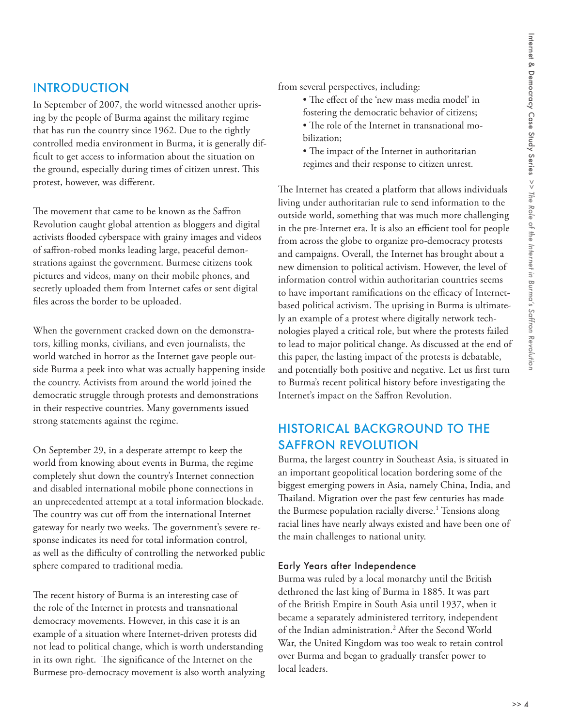# **INTRODUCTION**

In September of 2007, the world witnessed another uprising by the people of Burma against the military regime that has run the country since 1962. Due to the tightly controlled media environment in Burma, it is generally difficult to get access to information about the situation on the ground, especially during times of citizen unrest. This protest, however, was different.

The movement that came to be known as the Saffron Revolution caught global attention as bloggers and digital activists flooded cyberspace with grainy images and videos of saffron-robed monks leading large, peaceful demonstrations against the government. Burmese citizens took pictures and videos, many on their mobile phones, and secretly uploaded them from Internet cafes or sent digital files across the border to be uploaded.

When the government cracked down on the demonstrators, killing monks, civilians, and even journalists, the world watched in horror as the Internet gave people outside Burma a peek into what was actually happening inside the country. Activists from around the world joined the democratic struggle through protests and demonstrations in their respective countries. Many governments issued strong statements against the regime.

On September 29, in a desperate attempt to keep the world from knowing about events in Burma, the regime completely shut down the country's Internet connection and disabled international mobile phone connections in an unprecedented attempt at a total information blockade. The country was cut off from the international Internet gateway for nearly two weeks. The government's severe response indicates its need for total information control, as well as the difficulty of controlling the networked public sphere compared to traditional media.

The recent history of Burma is an interesting case of the role of the Internet in protests and transnational democracy movements. However, in this case it is an example of a situation where Internet-driven protests did not lead to political change, which is worth understanding in its own right. The significance of the Internet on the Burmese pro-democracy movement is also worth analyzing from several perspectives, including:

- The effect of the 'new mass media model' in fostering the democratic behavior of citizens;
- The role of the Internet in transnational mobilization;
- The impact of the Internet in authoritarian regimes and their response to citizen unrest.

The Internet has created a platform that allows individuals living under authoritarian rule to send information to the outside world, something that was much more challenging in the pre-Internet era. It is also an efficient tool for people from across the globe to organize pro-democracy protests and campaigns. Overall, the Internet has brought about a new dimension to political activism. However, the level of information control within authoritarian countries seems to have important ramifications on the efficacy of Internetbased political activism. The uprising in Burma is ultimately an example of a protest where digitally network technologies played a critical role, but where the protests failed to lead to major political change. As discussed at the end of this paper, the lasting impact of the protests is debatable, and potentially both positive and negative. Let us first turn to Burma's recent political history before investigating the Internet's impact on the Saffron Revolution.

# Historical Background to the Saffron Revolution

Burma, the largest country in Southeast Asia, is situated in an important geopolitical location bordering some of the biggest emerging powers in Asia, namely China, India, and Thailand. Migration over the past few centuries has made the Burmese population racially diverse.<sup>1</sup> Tensions along racial lines have nearly always existed and have been one of the main challenges to national unity.

## Early Years after Independence

Burma was ruled by a local monarchy until the British dethroned the last king of Burma in 1885. It was part of the British Empire in South Asia until 1937, when it became a separately administered territory, independent of the Indian administration.<sup>2</sup> After the Second World War, the United Kingdom was too weak to retain control over Burma and began to gradually transfer power to local leaders.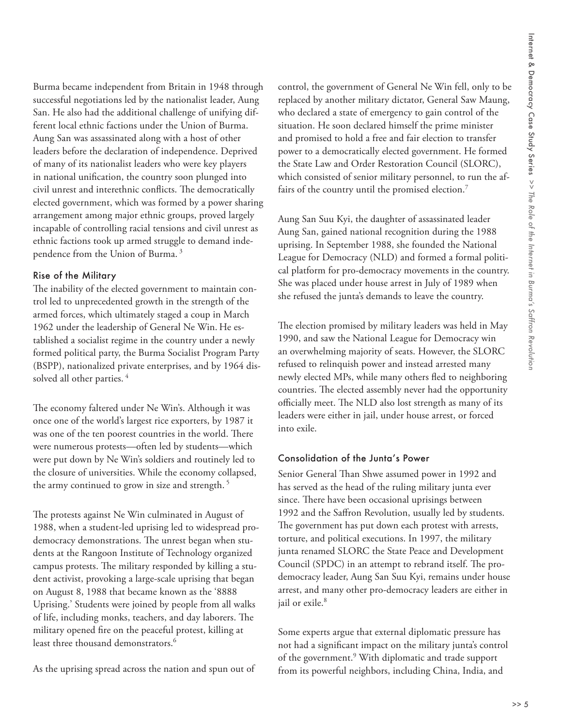Burma became independent from Britain in 1948 through successful negotiations led by the nationalist leader, Aung San. He also had the additional challenge of unifying different local ethnic factions under the Union of Burma. Aung San was assassinated along with a host of other leaders before the declaration of independence. Deprived of many of its nationalist leaders who were key players in national unification, the country soon plunged into civil unrest and interethnic conflicts. The democratically elected government, which was formed by a power sharing arrangement among major ethnic groups, proved largely incapable of controlling racial tensions and civil unrest as ethnic factions took up armed struggle to demand independence from the Union of Burma.<sup>3</sup>

#### Rise of the Military

The inability of the elected government to maintain control led to unprecedented growth in the strength of the armed forces, which ultimately staged a coup in March 1962 under the leadership of General Ne Win. He established a socialist regime in the country under a newly formed political party, the Burma Socialist Program Party (BSPP), nationalized private enterprises, and by 1964 dissolved all other parties.<sup>4</sup>

The economy faltered under Ne Win's. Although it was once one of the world's largest rice exporters, by 1987 it was one of the ten poorest countries in the world. There were numerous protests—often led by students—which were put down by Ne Win's soldiers and routinely led to the closure of universities. While the economy collapsed, the army continued to grow in size and strength.<sup>5</sup>

The protests against Ne Win culminated in August of 1988, when a student-led uprising led to widespread prodemocracy demonstrations. The unrest began when students at the Rangoon Institute of Technology organized campus protests. The military responded by killing a student activist, provoking a large-scale uprising that began on August 8, 1988 that became known as the '8888 Uprising.' Students were joined by people from all walks of life, including monks, teachers, and day laborers. The military opened fire on the peaceful protest, killing at least three thousand demonstrators.<sup>6</sup>

As the uprising spread across the nation and spun out of

control, the government of General Ne Win fell, only to be replaced by another military dictator, General Saw Maung, who declared a state of emergency to gain control of the situation. He soon declared himself the prime minister and promised to hold a free and fair election to transfer power to a democratically elected government. He formed the State Law and Order Restoration Council (SLORC), which consisted of senior military personnel, to run the affairs of the country until the promised election.<sup>7</sup>

Aung San Suu Kyi, the daughter of assassinated leader Aung San, gained national recognition during the 1988 uprising. In September 1988, she founded the National League for Democracy (NLD) and formed a formal political platform for pro-democracy movements in the country. She was placed under house arrest in July of 1989 when she refused the junta's demands to leave the country.

The election promised by military leaders was held in May 1990, and saw the National League for Democracy win an overwhelming majority of seats. However, the SLORC refused to relinquish power and instead arrested many newly elected MPs, while many others fled to neighboring countries. The elected assembly never had the opportunity officially meet. The NLD also lost strength as many of its leaders were either in jail, under house arrest, or forced into exile.

#### Consolidation of the Junta's Power

Senior General Than Shwe assumed power in 1992 and has served as the head of the ruling military junta ever since. There have been occasional uprisings between 1992 and the Saffron Revolution, usually led by students. The government has put down each protest with arrests, torture, and political executions. In 1997, the military junta renamed SLORC the State Peace and Development Council (SPDC) in an attempt to rebrand itself. The prodemocracy leader, Aung San Suu Kyi, remains under house arrest, and many other pro-democracy leaders are either in jail or exile.<sup>8</sup>

Some experts argue that external diplomatic pressure has not had a significant impact on the military junta's control of the government.<sup>9</sup> With diplomatic and trade support from its powerful neighbors, including China, India, and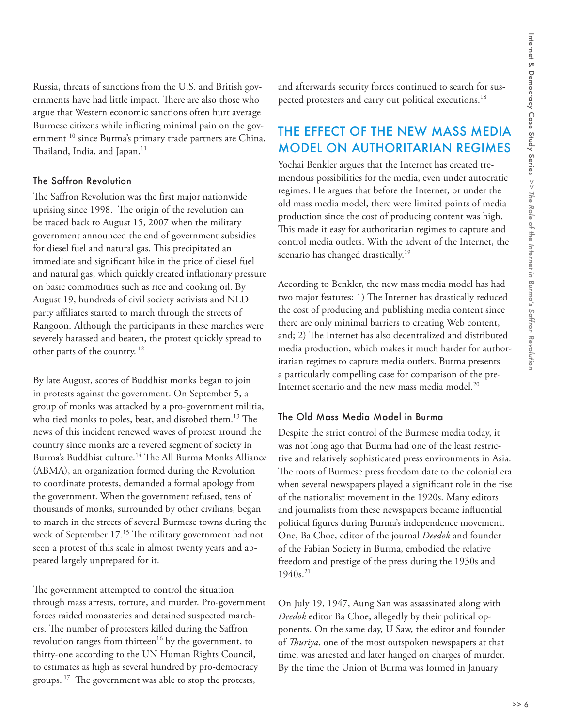Russia, threats of sanctions from the U.S. and British governments have had little impact. There are also those who argue that Western economic sanctions often hurt average Burmese citizens while inflicting minimal pain on the government <sup>10</sup> since Burma's primary trade partners are China, Thailand, India, and Japan.<sup>11</sup>

#### The Saffron Revolution

The Saffron Revolution was the first major nationwide uprising since 1998. The origin of the revolution can be traced back to August 15, 2007 when the military government announced the end of government subsidies for diesel fuel and natural gas. This precipitated an immediate and significant hike in the price of diesel fuel and natural gas, which quickly created inflationary pressure on basic commodities such as rice and cooking oil. By August 19, hundreds of civil society activists and NLD party affiliates started to march through the streets of Rangoon. Although the participants in these marches were severely harassed and beaten, the protest quickly spread to other parts of the country.<sup>12</sup>

By late August, scores of Buddhist monks began to join in protests against the government. On September 5, a group of monks was attacked by a pro-government militia, who tied monks to poles, beat, and disrobed them.<sup>13</sup> The news of this incident renewed waves of protest around the country since monks are a revered segment of society in Burma's Buddhist culture.<sup>14</sup> The All Burma Monks Alliance (ABMA), an organization formed during the Revolution to coordinate protests, demanded a formal apology from the government. When the government refused, tens of thousands of monks, surrounded by other civilians, began to march in the streets of several Burmese towns during the week of September 17.<sup>15</sup> The military government had not seen a protest of this scale in almost twenty years and appeared largely unprepared for it.

The government attempted to control the situation through mass arrests, torture, and murder. Pro-government forces raided monasteries and detained suspected marchers. The number of protesters killed during the Saffron revolution ranges from thirteen<sup>16</sup> by the government, to thirty-one according to the UN Human Rights Council, to estimates as high as several hundred by pro-democracy groups.<sup>17</sup> The government was able to stop the protests,

and afterwards security forces continued to search for suspected protesters and carry out political executions.<sup>18</sup>

# The Effect of the New Mass Media Model on Authoritarian Regimes

Yochai Benkler argues that the Internet has created tremendous possibilities for the media, even under autocratic regimes. He argues that before the Internet, or under the old mass media model, there were limited points of media production since the cost of producing content was high. This made it easy for authoritarian regimes to capture and control media outlets. With the advent of the Internet, the scenario has changed drastically.<sup>19</sup>

According to Benkler, the new mass media model has had two major features: 1) The Internet has drastically reduced the cost of producing and publishing media content since there are only minimal barriers to creating Web content, and; 2) The Internet has also decentralized and distributed media production, which makes it much harder for authoritarian regimes to capture media outlets. Burma presents a particularly compelling case for comparison of the pre-Internet scenario and the new mass media model.<sup>20</sup>

#### The Old Mass Media Model in Burma

Despite the strict control of the Burmese media today, it was not long ago that Burma had one of the least restrictive and relatively sophisticated press environments in Asia. The roots of Burmese press freedom date to the colonial era when several newspapers played a significant role in the rise of the nationalist movement in the 1920s. Many editors and journalists from these newspapers became influential political figures during Burma's independence movement. One, Ba Choe, editor of the journal *Deedok* and founder of the Fabian Society in Burma, embodied the relative freedom and prestige of the press during the 1930s and 1940s.<sup>21</sup>

On July 19, 1947, Aung San was assassinated along with *Deedok* editor Ba Choe, allegedly by their political opponents. On the same day, U Saw, the editor and founder of *Thuriya*, one of the most outspoken newspapers at that time, was arrested and later hanged on charges of murder. By the time the Union of Burma was formed in January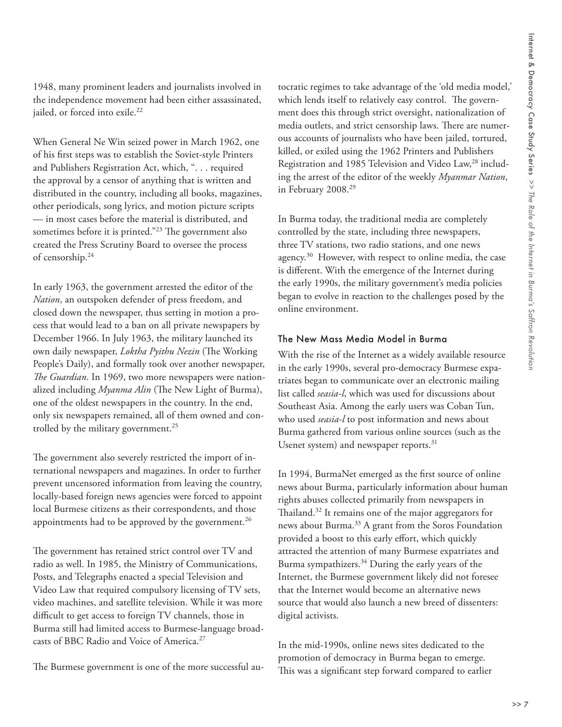1948, many prominent leaders and journalists involved in the independence movement had been either assassinated, jailed, or forced into exile.<sup>22</sup>

When General Ne Win seized power in March 1962, one of his first steps was to establish the Soviet-style Printers and Publishers Registration Act, which, ". . . required the approval by a censor of anything that is written and distributed in the country, including all books, magazines, other periodicals, song lyrics, and motion picture scripts — in most cases before the material is distributed, and sometimes before it is printed."<sup>23</sup> The government also created the Press Scrutiny Board to oversee the process of censorship.<sup>24</sup>

In early 1963, the government arrested the editor of the *Nation*, an outspoken defender of press freedom, and closed down the newspaper, thus setting in motion a process that would lead to a ban on all private newspapers by December 1966. In July 1963, the military launched its own daily newspaper, *Loktha Pyithu Nezin* (The Working People's Daily), and formally took over another newspaper, *The Guardian*. In 1969, two more newspapers were nationalized including *Myanma Alin* (The New Light of Burma), one of the oldest newspapers in the country. In the end, only six newspapers remained, all of them owned and controlled by the military government.<sup>25</sup>

The government also severely restricted the import of international newspapers and magazines. In order to further prevent uncensored information from leaving the country, locally-based foreign news agencies were forced to appoint local Burmese citizens as their correspondents, and those appointments had to be approved by the government.<sup>26</sup>

The government has retained strict control over TV and radio as well. In 1985, the Ministry of Communications, Posts, and Telegraphs enacted a special Television and Video Law that required compulsory licensing of TV sets, video machines, and satellite television. While it was more difficult to get access to foreign TV channels, those in Burma still had limited access to Burmese-language broadcasts of BBC Radio and Voice of America.<sup>27</sup>

The Burmese government is one of the more successful au-

tocratic regimes to take advantage of the 'old media model,' which lends itself to relatively easy control. The government does this through strict oversight, nationalization of media outlets, and strict censorship laws. There are numerous accounts of journalists who have been jailed, tortured, killed, or exiled using the 1962 Printers and Publishers Registration and 1985 Television and Video Law,<sup>28</sup> including the arrest of the editor of the weekly *Myanmar Nation*, in February 2008.<sup>29</sup>

In Burma today, the traditional media are completely controlled by the state, including three newspapers, three TV stations, two radio stations, and one news agency.30 However, with respect to online media, the case is different. With the emergence of the Internet during the early 1990s, the military government's media policies began to evolve in reaction to the challenges posed by the online environment.

#### The New Mass Media Model in Burma

With the rise of the Internet as a widely available resource in the early 1990s, several pro-democracy Burmese expatriates began to communicate over an electronic mailing list called *seasia-l*, which was used for discussions about Southeast Asia. Among the early users was Coban Tun, who used *seasia-l* to post information and news about Burma gathered from various online sources (such as the Usenet system) and newspaper reports.<sup>31</sup>

In 1994, BurmaNet emerged as the first source of online news about Burma, particularly information about human rights abuses collected primarily from newspapers in Thailand.32 It remains one of the major aggregators for news about Burma.33 A grant from the Soros Foundation provided a boost to this early effort, which quickly attracted the attention of many Burmese expatriates and Burma sympathizers. $34$  During the early years of the Internet, the Burmese government likely did not foresee that the Internet would become an alternative news source that would also launch a new breed of dissenters: digital activists.

In the mid-1990s, online news sites dedicated to the promotion of democracy in Burma began to emerge. This was a significant step forward compared to earlier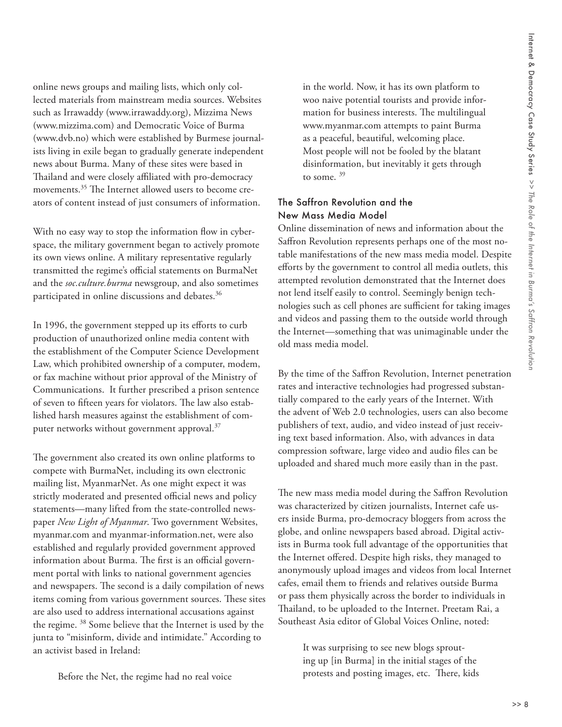online news groups and mailing lists, which only collected materials from mainstream media sources. Websites such as Irrawaddy (www.irrawaddy.org), Mizzima News (www.mizzima.com) and Democratic Voice of Burma (www.dvb.no) which were established by Burmese journalists living in exile began to gradually generate independent news about Burma. Many of these sites were based in Thailand and were closely affiliated with pro-democracy movements.<sup>35</sup> The Internet allowed users to become creators of content instead of just consumers of information.

With no easy way to stop the information flow in cyberspace, the military government began to actively promote its own views online. A military representative regularly transmitted the regime's official statements on BurmaNet and the *soc.culture.burma* newsgroup, and also sometimes participated in online discussions and debates.<sup>36</sup>

In 1996, the government stepped up its efforts to curb production of unauthorized online media content with the establishment of the Computer Science Development Law, which prohibited ownership of a computer, modem, or fax machine without prior approval of the Ministry of Communications. It further prescribed a prison sentence of seven to fifteen years for violators. The law also established harsh measures against the establishment of computer networks without government approval.<sup>37</sup>

The government also created its own online platforms to compete with BurmaNet, including its own electronic mailing list, MyanmarNet. As one might expect it was strictly moderated and presented official news and policy statements—many lifted from the state-controlled newspaper *New Light of Myanmar*. Two government Websites, myanmar.com and myanmar-information.net, were also established and regularly provided government approved information about Burma. The first is an official government portal with links to national government agencies and newspapers. The second is a daily compilation of news items coming from various government sources. These sites are also used to address international accusations against the regime. 38 Some believe that the Internet is used by the junta to "misinform, divide and intimidate." According to an activist based in Ireland:

Before the Net, the regime had no real voice

in the world. Now, it has its own platform to woo naive potential tourists and provide information for business interests. The multilingual www.myanmar.com attempts to paint Burma as a peaceful, beautiful, welcoming place. Most people will not be fooled by the blatant disinformation, but inevitably it gets through to some.  $39$ 

## The Saffron Revolution and the New Mass Media Model

Online dissemination of news and information about the Saffron Revolution represents perhaps one of the most notable manifestations of the new mass media model. Despite efforts by the government to control all media outlets, this attempted revolution demonstrated that the Internet does not lend itself easily to control. Seemingly benign technologies such as cell phones are sufficient for taking images and videos and passing them to the outside world through the Internet—something that was unimaginable under the old mass media model.

By the time of the Saffron Revolution, Internet penetration rates and interactive technologies had progressed substantially compared to the early years of the Internet. With the advent of Web 2.0 technologies, users can also become publishers of text, audio, and video instead of just receiving text based information. Also, with advances in data compression software, large video and audio files can be uploaded and shared much more easily than in the past.

The new mass media model during the Saffron Revolution was characterized by citizen journalists, Internet cafe users inside Burma, pro-democracy bloggers from across the globe, and online newspapers based abroad. Digital activists in Burma took full advantage of the opportunities that the Internet offered. Despite high risks, they managed to anonymously upload images and videos from local Internet cafes, email them to friends and relatives outside Burma or pass them physically across the border to individuals in Thailand, to be uploaded to the Internet. Preetam Rai, a Southeast Asia editor of Global Voices Online, noted:

> It was surprising to see new blogs sprouting up [in Burma] in the initial stages of the protests and posting images, etc. There, kids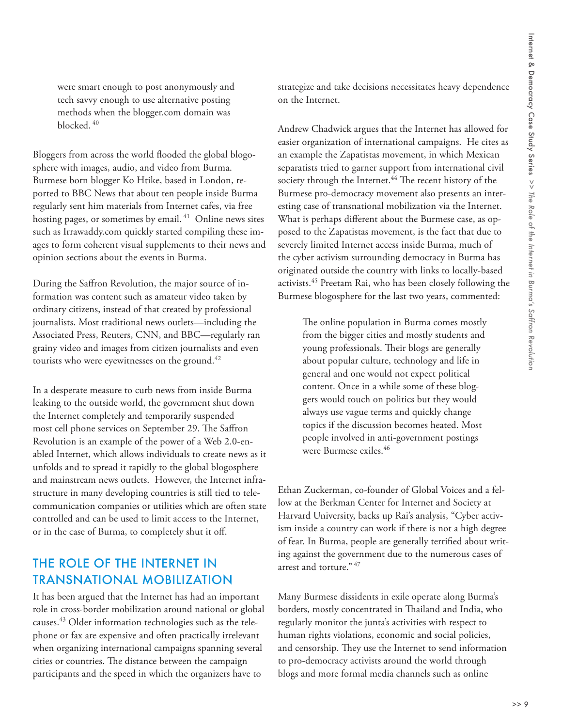were smart enough to post anonymously and tech savvy enough to use alternative posting methods when the blogger.com domain was blocked.<sup>40</sup>

Bloggers from across the world flooded the global blogosphere with images, audio, and video from Burma. Burmese born blogger Ko Htike, based in London, reported to BBC News that about ten people inside Burma regularly sent him materials from Internet cafes, via free hosting pages, or sometimes by email. 41 Online news sites such as Irrawaddy.com quickly started compiling these images to form coherent visual supplements to their news and opinion sections about the events in Burma.

During the Saffron Revolution, the major source of information was content such as amateur video taken by ordinary citizens, instead of that created by professional journalists. Most traditional news outlets—including the Associated Press, Reuters, CNN, and BBC—regularly ran grainy video and images from citizen journalists and even tourists who were eyewitnesses on the ground.<sup>42</sup>

In a desperate measure to curb news from inside Burma leaking to the outside world, the government shut down the Internet completely and temporarily suspended most cell phone services on September 29. The Saffron Revolution is an example of the power of a Web 2.0-enabled Internet, which allows individuals to create news as it unfolds and to spread it rapidly to the global blogosphere and mainstream news outlets. However, the Internet infrastructure in many developing countries is still tied to telecommunication companies or utilities which are often state controlled and can be used to limit access to the Internet, or in the case of Burma, to completely shut it off.

# The Role of the Internet in Transnational Mobilization

It has been argued that the Internet has had an important role in cross-border mobilization around national or global causes.43 Older information technologies such as the telephone or fax are expensive and often practically irrelevant when organizing international campaigns spanning several cities or countries. The distance between the campaign participants and the speed in which the organizers have to

strategize and take decisions necessitates heavy dependence on the Internet.

Andrew Chadwick argues that the Internet has allowed for easier organization of international campaigns. He cites as an example the Zapatistas movement, in which Mexican separatists tried to garner support from international civil society through the Internet.<sup>44</sup> The recent history of the Burmese pro-democracy movement also presents an interesting case of transnational mobilization via the Internet. What is perhaps different about the Burmese case, as opposed to the Zapatistas movement, is the fact that due to severely limited Internet access inside Burma, much of the cyber activism surrounding democracy in Burma has originated outside the country with links to locally-based activists.45 Preetam Rai, who has been closely following the Burmese blogosphere for the last two years, commented:

> The online population in Burma comes mostly from the bigger cities and mostly students and young professionals. Their blogs are generally about popular culture, technology and life in general and one would not expect political content. Once in a while some of these bloggers would touch on politics but they would always use vague terms and quickly change topics if the discussion becomes heated. Most people involved in anti-government postings were Burmese exiles.<sup>46</sup>

Ethan Zuckerman, co-founder of Global Voices and a fellow at the Berkman Center for Internet and Society at Harvard University, backs up Rai's analysis, "Cyber activism inside a country can work if there is not a high degree of fear. In Burma, people are generally terrified about writing against the government due to the numerous cases of arrest and torture."<sup>47</sup>

Many Burmese dissidents in exile operate along Burma's borders, mostly concentrated in Thailand and India, who regularly monitor the junta's activities with respect to human rights violations, economic and social policies, and censorship. They use the Internet to send information to pro-democracy activists around the world through blogs and more formal media channels such as online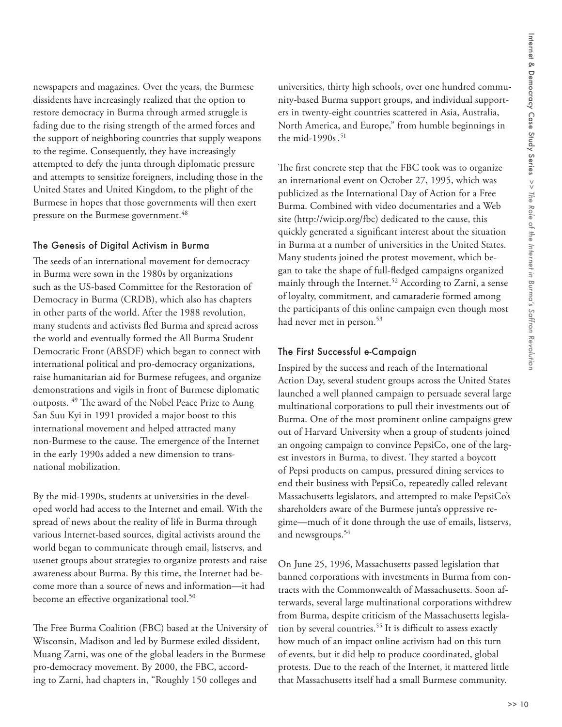newspapers and magazines. Over the years, the Burmese dissidents have increasingly realized that the option to restore democracy in Burma through armed struggle is fading due to the rising strength of the armed forces and the support of neighboring countries that supply weapons to the regime. Consequently, they have increasingly attempted to defy the junta through diplomatic pressure and attempts to sensitize foreigners, including those in the United States and United Kingdom, to the plight of the Burmese in hopes that those governments will then exert pressure on the Burmese government.<sup>48</sup>

#### The Genesis of Digital Activism in Burma

The seeds of an international movement for democracy in Burma were sown in the 1980s by organizations such as the US-based Committee for the Restoration of Democracy in Burma (CRDB), which also has chapters in other parts of the world. After the 1988 revolution, many students and activists fled Burma and spread across the world and eventually formed the All Burma Student Democratic Front (ABSDF) which began to connect with international political and pro-democracy organizations, raise humanitarian aid for Burmese refugees, and organize demonstrations and vigils in front of Burmese diplomatic outposts. 49 The award of the Nobel Peace Prize to Aung San Suu Kyi in 1991 provided a major boost to this international movement and helped attracted many non-Burmese to the cause. The emergence of the Internet in the early 1990s added a new dimension to transnational mobilization.

By the mid-1990s, students at universities in the developed world had access to the Internet and email. With the spread of news about the reality of life in Burma through various Internet-based sources, digital activists around the world began to communicate through email, listservs, and usenet groups about strategies to organize protests and raise awareness about Burma. By this time, the Internet had become more than a source of news and information—it had become an effective organizational tool.<sup>50</sup>

The Free Burma Coalition (FBC) based at the University of Wisconsin, Madison and led by Burmese exiled dissident, Muang Zarni, was one of the global leaders in the Burmese pro-democracy movement. By 2000, the FBC, according to Zarni, had chapters in, "Roughly 150 colleges and

universities, thirty high schools, over one hundred community-based Burma support groups, and individual supporters in twenty-eight countries scattered in Asia, Australia, North America, and Europe," from humble beginnings in the mid-1990s . 51

The first concrete step that the FBC took was to organize an international event on October 27, 1995, which was publicized as the International Day of Action for a Free Burma. Combined with video documentaries and a Web site (http://wicip.org/fbc) dedicated to the cause, this quickly generated a significant interest about the situation in Burma at a number of universities in the United States. Many students joined the protest movement, which began to take the shape of full-fledged campaigns organized mainly through the Internet.<sup>52</sup> According to Zarni, a sense of loyalty, commitment, and camaraderie formed among the participants of this online campaign even though most had never met in person.<sup>53</sup>

#### The First Successful e-Campaign

Inspired by the success and reach of the International Action Day, several student groups across the United States launched a well planned campaign to persuade several large multinational corporations to pull their investments out of Burma. One of the most prominent online campaigns grew out of Harvard University when a group of students joined an ongoing campaign to convince PepsiCo, one of the largest investors in Burma, to divest. They started a boycott of Pepsi products on campus, pressured dining services to end their business with PepsiCo, repeatedly called relevant Massachusetts legislators, and attempted to make PepsiCo's shareholders aware of the Burmese junta's oppressive regime—much of it done through the use of emails, listservs, and newsgroups.<sup>54</sup>

On June 25, 1996, Massachusetts passed legislation that banned corporations with investments in Burma from contracts with the Commonwealth of Massachusetts. Soon afterwards, several large multinational corporations withdrew from Burma, despite criticism of the Massachusetts legislation by several countries.<sup>55</sup> It is difficult to assess exactly how much of an impact online activism had on this turn of events, but it did help to produce coordinated, global protests. Due to the reach of the Internet, it mattered little that Massachusetts itself had a small Burmese community.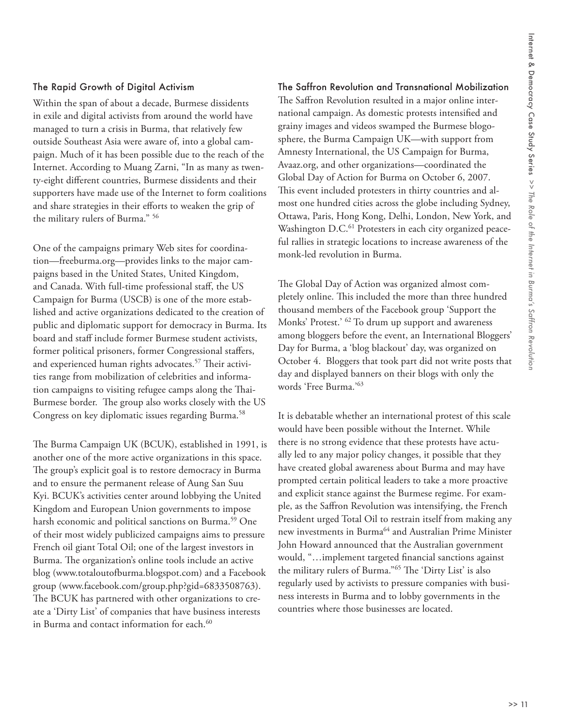#### The Rapid Growth of Digital Activism

Within the span of about a decade, Burmese dissidents in exile and digital activists from around the world have managed to turn a crisis in Burma, that relatively few outside Southeast Asia were aware of, into a global campaign. Much of it has been possible due to the reach of the Internet. According to Muang Zarni, "In as many as twenty-eight different countries, Burmese dissidents and their supporters have made use of the Internet to form coalitions and share strategies in their efforts to weaken the grip of the military rulers of Burma." <sup>56</sup>

One of the campaigns primary Web sites for coordination—freeburma.org—provides links to the major campaigns based in the United States, United Kingdom, and Canada. With full-time professional staff, the US Campaign for Burma (USCB) is one of the more established and active organizations dedicated to the creation of public and diplomatic support for democracy in Burma. Its board and staff include former Burmese student activists, former political prisoners, former Congressional staffers, and experienced human rights advocates.<sup>57</sup> Their activities range from mobilization of celebrities and information campaigns to visiting refugee camps along the Thai-Burmese border. The group also works closely with the US Congress on key diplomatic issues regarding Burma.<sup>58</sup>

The Burma Campaign UK (BCUK), established in 1991, is another one of the more active organizations in this space. The group's explicit goal is to restore democracy in Burma and to ensure the permanent release of Aung San Suu Kyi. BCUK's activities center around lobbying the United Kingdom and European Union governments to impose harsh economic and political sanctions on Burma.<sup>59</sup> One of their most widely publicized campaigns aims to pressure French oil giant Total Oil; one of the largest investors in Burma. The organization's online tools include an active blog (www.totaloutofburma.blogspot.com) and a Facebook group (www.facebook.com/group.php?gid=6833508763). The BCUK has partnered with other organizations to create a 'Dirty List' of companies that have business interests in Burma and contact information for each.<sup>60</sup>

The Saffron Revolution and Transnational Mobilization

The Saffron Revolution resulted in a major online international campaign. As domestic protests intensified and grainy images and videos swamped the Burmese blogosphere, the Burma Campaign UK—with support from Amnesty International, the US Campaign for Burma, Avaaz.org, and other organizations—coordinated the Global Day of Action for Burma on October 6, 2007. This event included protesters in thirty countries and almost one hundred cities across the globe including Sydney, Ottawa, Paris, Hong Kong, Delhi, London, New York, and Washington D.C.<sup>61</sup> Protesters in each city organized peaceful rallies in strategic locations to increase awareness of the monk-led revolution in Burma.

The Global Day of Action was organized almost completely online. This included the more than three hundred thousand members of the Facebook group 'Support the Monks' Protest.' 62 To drum up support and awareness among bloggers before the event, an International Bloggers' Day for Burma, a 'blog blackout' day, was organized on October 4. Bloggers that took part did not write posts that day and displayed banners on their blogs with only the words 'Free Burma.'<sup>63</sup>

It is debatable whether an international protest of this scale would have been possible without the Internet. While there is no strong evidence that these protests have actually led to any major policy changes, it possible that they have created global awareness about Burma and may have prompted certain political leaders to take a more proactive and explicit stance against the Burmese regime. For example, as the Saffron Revolution was intensifying, the French President urged Total Oil to restrain itself from making any new investments in Burma<sup>64</sup> and Australian Prime Minister John Howard announced that the Australian government would, "…implement targeted financial sanctions against the military rulers of Burma."<sup>65</sup> The 'Dirty List' is also regularly used by activists to pressure companies with business interests in Burma and to lobby governments in the countries where those businesses are located.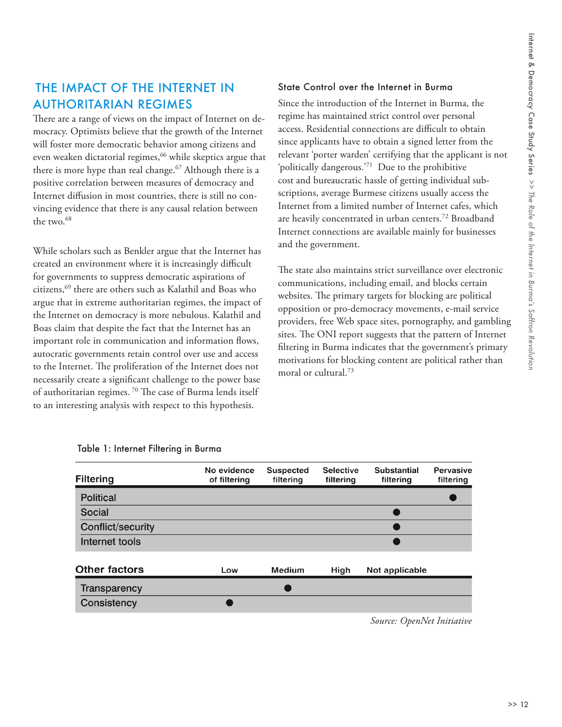# The Impact of the Internet in Authoritarian Regimes

There are a range of views on the impact of Internet on democracy. Optimists believe that the growth of the Internet will foster more democratic behavior among citizens and even weaken dictatorial regimes,<sup>66</sup> while skeptics argue that there is more hype than real change.<sup>67</sup> Although there is a positive correlation between measures of democracy and Internet diffusion in most countries, there is still no convincing evidence that there is any causal relation between the two.<sup>68</sup>

While scholars such as Benkler argue that the Internet has created an environment where it is increasingly difficult for governments to suppress democratic aspirations of citizens,69 there are others such as Kalathil and Boas who argue that in extreme authoritarian regimes, the impact of the Internet on democracy is more nebulous. Kalathil and Boas claim that despite the fact that the Internet has an important role in communication and information flows, autocratic governments retain control over use and access to the Internet. The proliferation of the Internet does not necessarily create a significant challenge to the power base of authoritarian regimes.  $70$  The case of Burma lends itself to an interesting analysis with respect to this hypothesis.

#### State Control over the Internet in Burma

Since the introduction of the Internet in Burma, the regime has maintained strict control over personal access. Residential connections are difficult to obtain since applicants have to obtain a signed letter from the relevant 'porter warden' certifying that the applicant is not 'politically dangerous.'71 Due to the prohibitive cost and bureaucratic hassle of getting individual subscriptions, average Burmese citizens usually access the Internet from a limited number of Internet cafes, which are heavily concentrated in urban centers.<sup>72</sup> Broadband Internet connections are available mainly for businesses and the government.

The state also maintains strict surveillance over electronic communications, including email, and blocks certain websites. The primary targets for blocking are political opposition or pro-democracy movements, e-mail service providers, free Web space sites, pornography, and gambling sites. The ONI report suggests that the pattern of Internet filtering in Burma indicates that the government's primary motivations for blocking content are political rather than moral or cultural.73

| <b>Filtering</b>         | No evidence<br>of filtering | <b>Suspected</b><br>filtering | <b>Selective</b><br>filtering | Substantial<br>filtering | Pervasive<br>filtering |
|--------------------------|-----------------------------|-------------------------------|-------------------------------|--------------------------|------------------------|
| <b>Political</b>         |                             |                               |                               |                          |                        |
| <b>Social</b>            |                             |                               |                               |                          |                        |
| <b>Conflict/security</b> |                             |                               |                               |                          |                        |
| Internet tools           |                             |                               |                               |                          |                        |
| <b>Other factors</b>     | Low                         | <b>Medium</b>                 | High                          | Not applicable           |                        |
| <b>Transparency</b>      |                             |                               |                               |                          |                        |
| Consistency              |                             |                               |                               |                          |                        |

Table 1: Internet Filtering in Burma

*Source: OpenNet Initiative*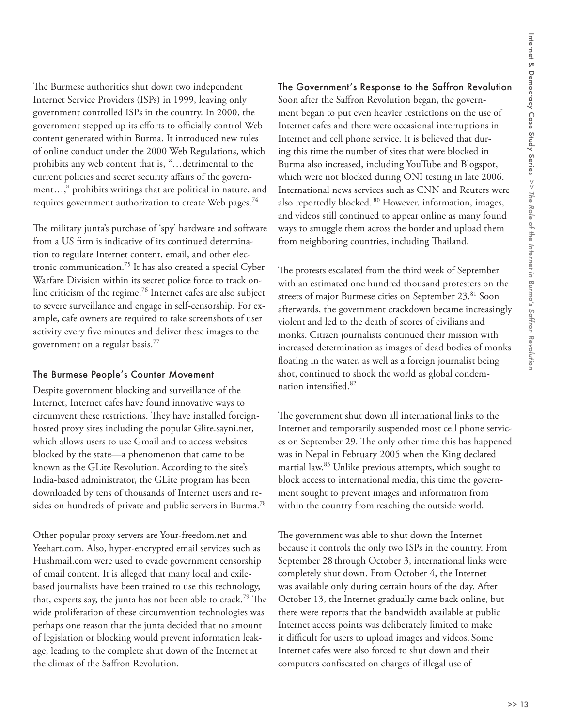The Burmese authorities shut down two independent Internet Service Providers (ISPs) in 1999, leaving only government controlled ISPs in the country. In 2000, the government stepped up its efforts to officially control Web content generated within Burma. It introduced new rules of online conduct under the 2000 Web Regulations, which prohibits any web content that is, "…detrimental to the current policies and secret security affairs of the government…," prohibits writings that are political in nature, and requires government authorization to create Web pages.<sup>74</sup>

The military junta's purchase of 'spy' hardware and software from a US firm is indicative of its continued determination to regulate Internet content, email, and other electronic communication.75 It has also created a special Cyber Warfare Division within its secret police force to track online criticism of the regime.76 Internet cafes are also subject to severe surveillance and engage in self-censorship. For example, cafe owners are required to take screenshots of user activity every five minutes and deliver these images to the government on a regular basis.<sup>77</sup>

#### The Burmese People's Counter Movement

Despite government blocking and surveillance of the Internet, Internet cafes have found innovative ways to circumvent these restrictions. They have installed foreignhosted proxy sites including the popular Glite.sayni.net, which allows users to use Gmail and to access websites blocked by the state—a phenomenon that came to be known as the GLite Revolution. According to the site's India-based administrator, the GLite program has been downloaded by tens of thousands of Internet users and resides on hundreds of private and public servers in Burma.<sup>78</sup>

Other popular proxy servers are Your-freedom.net and Yeehart.com. Also, hyper-encrypted email services such as Hushmail.com were used to evade government censorship of email content. It is alleged that many local and exilebased journalists have been trained to use this technology, that, experts say, the junta has not been able to crack.79 The wide proliferation of these circumvention technologies was perhaps one reason that the junta decided that no amount of legislation or blocking would prevent information leakage, leading to the complete shut down of the Internet at the climax of the Saffron Revolution.

The Government's Response to the Saffron Revolution

Soon after the Saffron Revolution began, the government began to put even heavier restrictions on the use of Internet cafes and there were occasional interruptions in Internet and cell phone service. It is believed that during this time the number of sites that were blocked in Burma also increased, including YouTube and Blogspot, which were not blocked during ONI testing in late 2006. International news services such as CNN and Reuters were also reportedly blocked. 80 However, information, images, and videos still continued to appear online as many found ways to smuggle them across the border and upload them from neighboring countries, including Thailand.

The protests escalated from the third week of September with an estimated one hundred thousand protesters on the streets of major Burmese cities on September 23.<sup>81</sup> Soon afterwards, the government crackdown became increasingly violent and led to the death of scores of civilians and monks. Citizen journalists continued their mission with increased determination as images of dead bodies of monks floating in the water, as well as a foreign journalist being shot, continued to shock the world as global condemnation intensified.<sup>82</sup>

The government shut down all international links to the Internet and temporarily suspended most cell phone services on September 29. The only other time this has happened was in Nepal in February 2005 when the King declared martial law.83 Unlike previous attempts, which sought to block access to international media, this time the government sought to prevent images and information from within the country from reaching the outside world.

The government was able to shut down the Internet because it controls the only two ISPs in the country. From September 28 through October 3, international links were completely shut down. From October 4, the Internet was available only during certain hours of the day. After October 13, the Internet gradually came back online, but there were reports that the bandwidth available at public Internet access points was deliberately limited to make it difficult for users to upload images and videos. Some Internet cafes were also forced to shut down and their computers confiscated on charges of illegal use of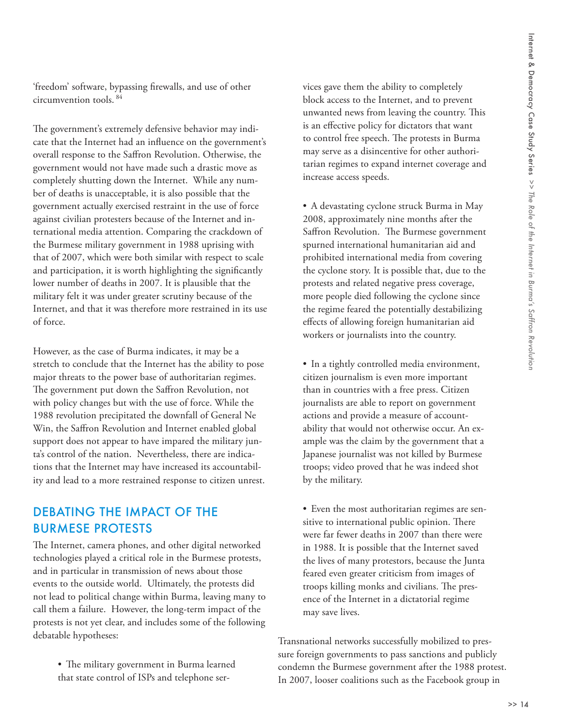'freedom' software, bypassing firewalls, and use of other circumvention tools.<sup>84</sup>

The government's extremely defensive behavior may indicate that the Internet had an influence on the government's overall response to the Saffron Revolution. Otherwise, the government would not have made such a drastic move as completely shutting down the Internet. While any number of deaths is unacceptable, it is also possible that the government actually exercised restraint in the use of force against civilian protesters because of the Internet and international media attention. Comparing the crackdown of the Burmese military government in 1988 uprising with that of 2007, which were both similar with respect to scale and participation, it is worth highlighting the significantly lower number of deaths in 2007. It is plausible that the military felt it was under greater scrutiny because of the Internet, and that it was therefore more restrained in its use of force.

However, as the case of Burma indicates, it may be a stretch to conclude that the Internet has the ability to pose major threats to the power base of authoritarian regimes. The government put down the Saffron Revolution, not with policy changes but with the use of force. While the 1988 revolution precipitated the downfall of General Ne Win, the Saffron Revolution and Internet enabled global support does not appear to have impared the military junta's control of the nation. Nevertheless, there are indications that the Internet may have increased its accountability and lead to a more restrained response to citizen unrest.

# Debating the Impact of the Burmese Protests

The Internet, camera phones, and other digital networked technologies played a critical role in the Burmese protests, and in particular in transmission of news about those events to the outside world. Ultimately, the protests did not lead to political change within Burma, leaving many to call them a failure. However, the long-term impact of the protests is not yet clear, and includes some of the following debatable hypotheses:

> • The military government in Burma learned that state control of ISPs and telephone ser

vices gave them the ability to completely block access to the Internet, and to prevent unwanted news from leaving the country. This is an effective policy for dictators that want to control free speech. The protests in Burma may serve as a disincentive for other authoritarian regimes to expand internet coverage and increase access speeds.

• A devastating cyclone struck Burma in May 2008, approximately nine months after the Saffron Revolution. The Burmese government spurned international humanitarian aid and prohibited international media from covering the cyclone story. It is possible that, due to the protests and related negative press coverage, more people died following the cyclone since the regime feared the potentially destabilizing effects of allowing foreign humanitarian aid workers or journalists into the country.

• In a tightly controlled media environment, citizen journalism is even more important than in countries with a free press. Citizen journalists are able to report on government actions and provide a measure of accountability that would not otherwise occur. An example was the claim by the government that a Japanese journalist was not killed by Burmese troops; video proved that he was indeed shot by the military.

• Even the most authoritarian regimes are sensitive to international public opinion. There were far fewer deaths in 2007 than there were in 1988. It is possible that the Internet saved the lives of many protestors, because the Junta feared even greater criticism from images of troops killing monks and civilians. The presence of the Internet in a dictatorial regime may save lives.

Transnational networks successfully mobilized to pressure foreign governments to pass sanctions and publicly condemn the Burmese government after the 1988 protest. In 2007, looser coalitions such as the Facebook group in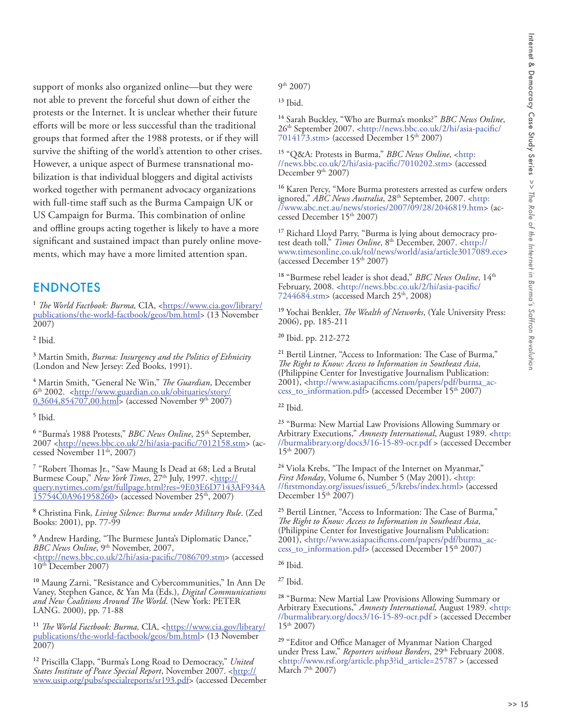support of monks also organized online—but they were not able to prevent the forceful shut down of either the protests or the Internet. It is unclear whether their future efforts will be more or less successful than the traditional groups that formed after the 1988 protests, or if they will survive the shifting of the world's attention to other crises. However, a unique aspect of Burmese transnational mobilization is that individual bloggers and digital activists worked together with permanent advocacy organizations with full-time staff such as the Burma Campaign UK or US Campaign for Burma. This combination of online and offline groups acting together is likely to have a more significant and sustained impact than purely online movements, which may have a more limited attention span.

## **ENDNOTES**

<sup>1</sup> The World Factbook: Burma, CIA, <https://www.cia.gov/library/ publications/the-world-factbook/geos/bm.html> (13 November 2007)

**<sup>2</sup>** Ibid.

**3** Martin Smith, *Burma: Insurgency and the Politics of Ethnicity* (London and New Jersey: Zed Books, 1991).

**4** Martin Smith, "General Ne Win," *The Guardian*, December 6<sup>th</sup> 2002. <http://www.guardian.co.uk/obituaries/story/ 0,3604,854707,00.html> (accessed November 9<sup>th</sup> 2007)

**5** Ibid.

<sup>6</sup> "Burma's 1988 Protests," *BBC News Online*, 25<sup>th</sup> September, 2007 <http://news.bbc.co.uk/2/hi/asia-pacific/7012158.stm> (accessed November 11th, 2007)

**<sup>7</sup>** "Robert Thomas Jr., "Saw Maung Is Dead at 68; Led a Brutal Burmese Coup," *New York Times*, 27<sup>th</sup> July, 1997. <<u>http://</u> query.nytimes.com/gst/fullpage.html?res=9E03E6D7143AF934A 15754C0A961958260> (accessed November 25th, 2007)

**<sup>8</sup>** Christina Fink, *Living Silence: Burma under Military Rule*. (Zed Books: 2001), pp. 77-99

**<sup>9</sup>** Andrew Harding, "The Burmese Junta's Diplomatic Dance," *BBC News Online*, 9<sup>th</sup> November, 2007, <http://news.bbc.co.uk/2/hi/asia-pacific/7086709.stm> (accessed  $10<sup>th</sup>$  December 2007)

**<sup>10</sup>** Maung Zarni, "Resistance and Cybercommunities," In Ann De Vaney, Stephen Gance, & Yan Ma (Eds.), *Digital Communications and New Coalitions Around The World*. (New York: PETER LANG. 2000), pp. 71-88

<sup>11</sup> *The World Factbook: Burma, CIA, <https://www.cia.gov/library/* publications/the-world-factbook/geos/bm.html> (13 November 2007)

**<sup>12</sup>** Priscilla Clapp, "Burma's Long Road to Democracy," *United States Institute of Peace Special Report*, November 2007. <http:// www.usip.org/pubs/specialreports/sr193.pdf> (accessed December 9th 2007)

**<sup>13</sup>** Ibid.

**<sup>14</sup>** Sarah Buckley, "Who are Burma's monks?" *BBC News Online*, 26th September 2007. <http://news.bbc.co.uk/2/hi/asia-pacific/  $7014173$ .stm> (accessed December 15<sup>th</sup> 2007)

**<sup>15</sup>** "Q&A: Protests in Burma," *BBC News Online*, <http: //news.bbc.co.uk/2/hi/asia-pacific/7010202.stm> (accessed December  $9<sup>th</sup> 2007$ )

**<sup>16</sup>** Karen Percy, "More Burma protesters arrested as curfew orders ignored," *ABC News Australia*, 28<sup>th</sup> September, 2007. <http: //www.abc.net.au/news/stories/2007/09/28/2046819.htm> (ac- cessed December 15th 2007)

<sup>17</sup> Richard Lloyd Parry, "Burma is lying about democracy pro-<br>test death toll," *Times Online*, 8<sup>th</sup> December, 2007. <http:// www.timesonline.co.uk/tol/news/world/asia/article3017089.ece> (accessed December 15<sup>th</sup> 2007)

<sup>18</sup> "Burmese rebel leader is shot dead," BBC News Online, 14<sup>th</sup> February, 2008. <http://news.bbc.co.uk/2/hi/asia-pacific/ 7244684.stm> (accessed March 25<sup>th</sup>, 2008)

**<sup>19</sup>** Yochai Benkler, *The Wealth of Networks*, (Yale University Press: 2006), pp. 185-211

**<sup>20</sup>** Ibid. pp. 212-272

**<sup>21</sup>** Bertil Lintner, "Access to Information: The Case of Burma," *The Right to Know: Access to Information in Southeast Asia*, (Philippine Center for Investigative Journalism Publication: 2001), <http://www.asiapacificms.com/papers/pdf/burma\_access\_to\_information.pdf> (accessed December 15th 2007)

**<sup>22</sup>** Ibid.

**<sup>23</sup>** "Burma: New Martial Law Provisions Allowing Summary or Arbitrary Executions," Amnesty International, August 1989. <http: //burmalibrary.org/docs3/16-15-89-ocr.pdf > (accessed December 15th 2007)

**<sup>24</sup>** Viola Krebs, "The Impact of the Internet on Myanmar," *First Monday*, Volume 6, Number 5 (May 2001). <http: //firstmonday.org/issues/issue6\_5/krebs/index.html> (accessed December  $15<sup>th</sup> 2007$ )

**<sup>25</sup>** Bertil Lintner, "Access to Information: The Case of Burma," *The Right to Know: Access to Information in Southeast Asia*, (Philippine Center for Investigative Journalism Publication: 2001), <http://www.asiapacificms.com/papers/pdf/burma\_access\_to\_information.pdf> (accessed December 15th 2007)

**<sup>26</sup>** Ibid.

**<sup>27</sup>** Ibid.

**<sup>28</sup>** "Burma: New Martial Law Provisions Allowing Summary or Arbitrary Executions," *Amnesty International*, August 1989. <http: //burmalibrary.org/docs3/16-15-89-ocr.pdf > (accessed December 15th 2007)

<sup>29</sup> "Editor and Office Manager of Myanmar Nation Charged<br>under Press Law," *Reporters without Borders*, 29<sup>th</sup> February 2008. under Press Law," *Reporters without Borders*, 29th February 2008. <http://www.rsf.org/article.php3?id\_article=25787 > (accessed March 7<sup>th</sup> 2007)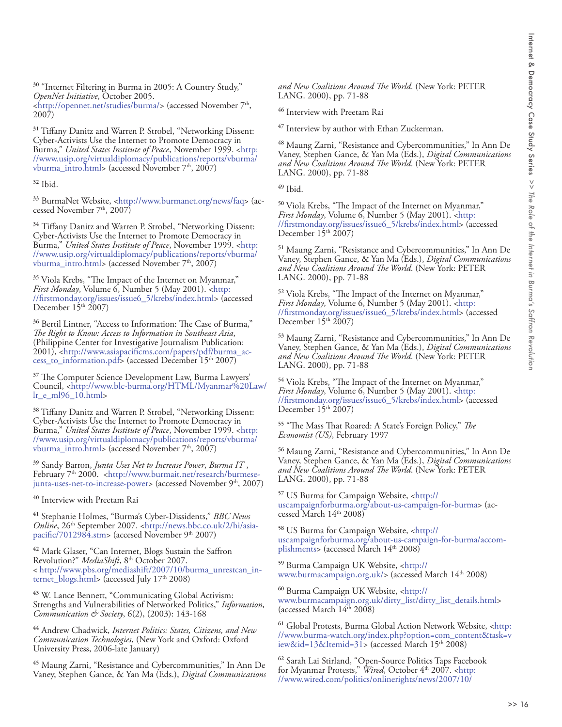<sup>30</sup> "Internet Filtering in Burma in 2005: A Country Study,"<br>OpenNet Initiative, October 2005.

 $\langle$ http://opennet.net/studies/burma/> (accessed November 7<sup>th</sup>, 2007)

**<sup>31</sup>** Tiffany Danitz and Warren P. Strobel, "Networking Dissent: Cyber-Activists Use the Internet to Promote Democracy in Burma," *United States Institute of Peace*, November 1999. <http: //www.usip.org/virtualdiplomacy/publications/reports/vburma/ vburma\_intro.html> (accessed November 7<sup>th</sup>, 2007)

**<sup>32</sup>** Ibid.

**<sup>33</sup>** BurmaNet Website, <http://www.burmanet.org/news/faq> (accessed November  $7<sup>th</sup>$ , 2007)

**<sup>34</sup>** Tiffany Danitz and Warren P. Strobel, "Networking Dissent: Cyber-Activists Use the Internet to Promote Democracy in Burma," *United States Institute of Peace*, November 1999. <http: //www.usip.org/virtualdiplomacy/publications/reports/vburma/ vburma\_intro.html> (accessed November  $7<sup>th</sup>$ , 2007)

**<sup>35</sup>** Viola Krebs, "The Impact of the Internet on Myanmar," *First Monday*, Volume 6, Number 5 (May 2001). <http: //firstmonday.org/issues/issue6\_5/krebs/index.html> (accessed December  $15<sup>th</sup> 2007$ )

**<sup>36</sup>** Bertil Lintner, "Access to Information: The Case of Burma," *The Right to Know: Access to Information in Southeast Asia*, (Philippine Center for Investigative Journalism Publication: 2001), <http://www.asiapacificms.com/papers/pdf/burma\_access to information.pdf> (accessed December  $15<sup>th</sup> 2007$ )

**<sup>37</sup>** The Computer Science Development Law, Burma Lawyers' Council, <http://www.blc-burma.org/HTML/Myanmar%20Law/  $\rm{lr\_e\_m}$ l $\rm{0.10.}$ html>

**<sup>38</sup>** Tiffany Danitz and Warren P. Strobel, "Networking Dissent: Cyber-Activists Use the Internet to Promote Democracy in Burma," *United States Institute of Peace*, November 1999. <http: //www.usip.org/virtualdiplomacy/publications/reports/vburma/ vburma\_intro.html> (accessed November  $7<sup>th</sup>$ , 2007)

**<sup>39</sup>** Sandy Barron, *Junta Uses Net to Increase Power*, *Burma IT* , February 7<sup>th</sup> 2000. <http://www.burmait.net/research/burmesejunta-uses-net-to-increase-power> (accessed November 9<sup>th</sup>, 2007)

**<sup>40</sup>** Interview with Preetam Rai

**<sup>41</sup>** Stephanie Holmes, "Burma's Cyber-Dissidents," *BBC News Online*, 26<sup>th</sup> September 2007. <http://news.bbc.co.uk/2/hi/asiapacific/7012984.stm> (accesed November  $9<sup>th</sup>$  2007)

**<sup>42</sup>** Mark Glaser, "Can Internet, Blogs Sustain the Saffron Revolution?" *MediaShift*, 8<sup>th</sup> October 2007. < http://www.pbs.org/mediashift/2007/10/burma\_unrestcan\_internet\_blogs.html> (accessed July  $17<sup>th</sup> 2008$ )

**<sup>43</sup>** W. Lance Bennett, "Communicating Global Activism: Strengths and Vulnerabilities of Networked Politics," *Information, Communication & Society*, 6(2), (2003): 143-168

**<sup>44</sup>** Andrew Chadwick, *Internet Politics: States, Citizens, and New Communication Technologies*, (New York and Oxford: Oxford University Press, 2006-late January)

**<sup>45</sup>** Maung Zarni, "Resistance and Cybercommunities," In Ann De Vaney, Stephen Gance, & Yan Ma (Eds.), *Digital Communications*  *and New Coalitions Around The World*. (New York: PETER LANG. 2000), pp. 71-88

**<sup>46</sup>** Interview with Preetam Rai

**<sup>47</sup>** Interview by author with Ethan Zuckerman.

**<sup>48</sup>** Maung Zarni, "Resistance and Cybercommunities," In Ann De Vaney, Stephen Gance, & Yan Ma (Eds.), *Digital Communications and New Coalitions Around The World*. (New York: PETER LANG. 2000), pp. 71-88

**<sup>49</sup>** Ibid.

**<sup>50</sup>** Viola Krebs, "The Impact of the Internet on Myanmar," *First Monday*, Volume 6, Number 5 (May 2001). <http: //firstmonday.org/issues/issue6\_5/krebs/index.html> (accessed December  $15<sup>th</sup> 2007$ )

**<sup>51</sup>** Maung Zarni, "Resistance and Cybercommunities," In Ann De Vaney, Stephen Gance, & Yan Ma (Eds.), *Digital Communications and New Coalitions Around The World*. (New York: PETER LANG. 2000), pp. 71-88

**<sup>52</sup>** Viola Krebs, "The Impact of the Internet on Myanmar," *First Monday*, Volume 6, Number 5 (May 2001). <http: //firstmonday.org/issues/issue6\_5/krebs/index.html> (accessed December  $15<sup>th</sup> 2007$ )

**<sup>53</sup>** Maung Zarni, "Resistance and Cybercommunities," In Ann De Vaney, Stephen Gance, & Yan Ma (Eds.), *Digital Communications and New Coalitions Around The World*. (New York: PETER LANG. 2000), pp. 71-88

**<sup>54</sup>** Viola Krebs, "The Impact of the Internet on Myanmar," *First Monday*, Volume 6, Number 5 (May 2001). <http: //firstmonday.org/issues/issue6\_5/krebs/index.html> (accessed December  $15<sup>th</sup> 2007$ 

**<sup>55</sup>** "The Mass That Roared: A State's Foreign Policy," *The Economist (US)*, February 1997

**<sup>56</sup>** Maung Zarni, "Resistance and Cybercommunities," In Ann De Vaney, Stephen Gance, & Yan Ma (Eds.), *Digital Communications and New Coalitions Around The World*. (New York: PETER LANG. 2000), pp. 71-88

**<sup>57</sup>** US Burma for Campaign Website, <http:// uscampaignforburma.org/about-us-campaign-for-burma> (ac-<br>cessed March 14<sup>th</sup> 2008)

**<sup>58</sup>** US Burma for Campaign Website, <http:// uscampaignforburma.org/about-us-campaign-for-burma/accomplishments> (accessed March 14<sup>th</sup> 2008)

**<sup>59</sup>** Burma Campaign UK Website, <http:// www.burmacampaign.org.uk/> (accessed March 14<sup>th</sup> 2008)

**<sup>60</sup>** Burma Campaign UK Website, <http:// www.burmacampaign.org.uk/dirty\_list/dirty\_list\_details.html> (accessed March  $14^{\text{th}}$  2008)

**<sup>61</sup>** Global Protests, Burma Global Action Network Website, <http: //www.burma-watch.org/index.php?option=com\_content&task=v iew&id=13&Itemid=31> (accessed March  $15<sup>th</sup> 2008$ )

**<sup>62</sup>** Sarah Lai Stirland, "Open-Source Politics Taps Facebook for Myanmar Protests," *Wired*, October 4<sup>th</sup> 2007. <http: //www.wired.com/politics/onlinerights/news/2007/10/